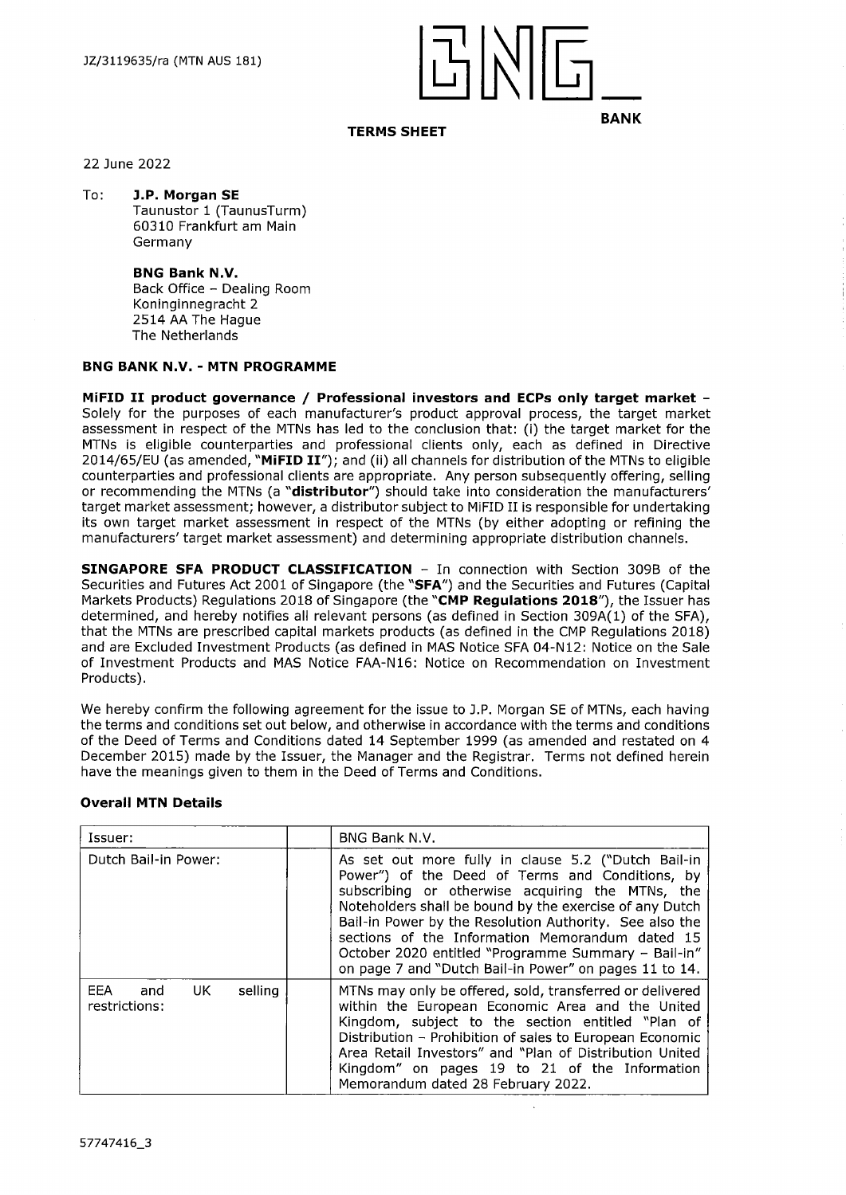

## **TERMS SHEET**

22 June 2022

To: **J.P. Morgan SE** Taunustor <sup>1</sup> (TaunusTurm) 60310 Frankfurt am Main Germany

> **BNG Bank N.V.** Back Office - Dealing Room Koninginnegracht 2 2514 AA The Hague The Netherlands

### **BNG BANK N.V. - MTN PROGRAMME**

**MiFID II product governance / Professional investors and ECPs only target market -** Solely for the purposes of each manufacturer's product approval process, the target market assessment in respect of the MTNs has led to the conclusion that: (i) the target market for the MTNs is eligible counterparties and professional clients only, each as defined in Directive 2014/65/EU (as amended, **"MiFID II");** and (ii) all channels for distribution of the MTNs to eligible counterparties and professional clients are appropriate. Any person subsequently offering, selling or recommending the MTNs (a **"distributor")** should take into consideration the manufacturers' target market assessment; however, <sup>a</sup> distributor subject to MiFID II is responsible for undertaking its own target market assessment in respect of the MTNs (by either adopting or refining the manufacturers' target market assessment) and determining appropriate distribution channels.

**SINGAPORE SFA PRODUCT CLASSIFICATION** - In connection with Section 309B of the Securities and Futures Act 2001 of Singapore (the **"SFA")** and the Securities and Futures (Capital Markets Products) Regulations 2018 of Singapore (the **"CMP Regulations 2018"),** the Issuer has determined, and hereby notifies all relevant persons (as defined in Section 309A(1) of the SFA), that the MTNs are prescribed capital markets products (as defined in the CMP Regulations 2018) and are Excluded Investment Products (as defined in MAS Notice SFA 04-N12: Notice on the Sale of Investment Products and MAS Notice FAA-N16: Notice on Recommendation on Investment Products).

We hereby confirm the following agreement for the issue to J.P. Morgan SE of MTNs, each having the terms and conditions set out below, and otherwise in accordance with the terms and conditions of the Deed of Terms and Conditions dated 14 September 1999 (as amended and restated on 4 December 2015) made by the Issuer, the Manager and the Registrar. Terms not defined herein have the meanings given to them in the Deed of Terms and Conditions.

| Issuer:                                        | BNG Bank N.V.                                                                                                                                                                                                                                                                                                                                                                                                                                        |  |
|------------------------------------------------|------------------------------------------------------------------------------------------------------------------------------------------------------------------------------------------------------------------------------------------------------------------------------------------------------------------------------------------------------------------------------------------------------------------------------------------------------|--|
| Dutch Bail-in Power:                           | As set out more fully in clause 5.2 ("Dutch Bail-in<br>Power") of the Deed of Terms and Conditions, by<br>subscribing or otherwise acquiring the MTNs, the<br>Noteholders shall be bound by the exercise of any Dutch<br>Bail-in Power by the Resolution Authority. See also the<br>sections of the Information Memorandum dated 15<br>October 2020 entitled "Programme Summary - Bail-in"<br>on page 7 and "Dutch Bail-in Power" on pages 11 to 14. |  |
| EEA.<br>UK.<br>selling<br>and<br>restrictions: | MTNs may only be offered, sold, transferred or delivered<br>within the European Economic Area and the United<br>Kingdom, subject to the section entitled "Plan of<br>Distribution - Prohibition of sales to European Economic<br>Area Retail Investors" and "Plan of Distribution United<br>Kingdom" on pages 19 to 21 of the Information<br>Memorandum dated 28 February 2022.                                                                      |  |

## **Overall MTN Details**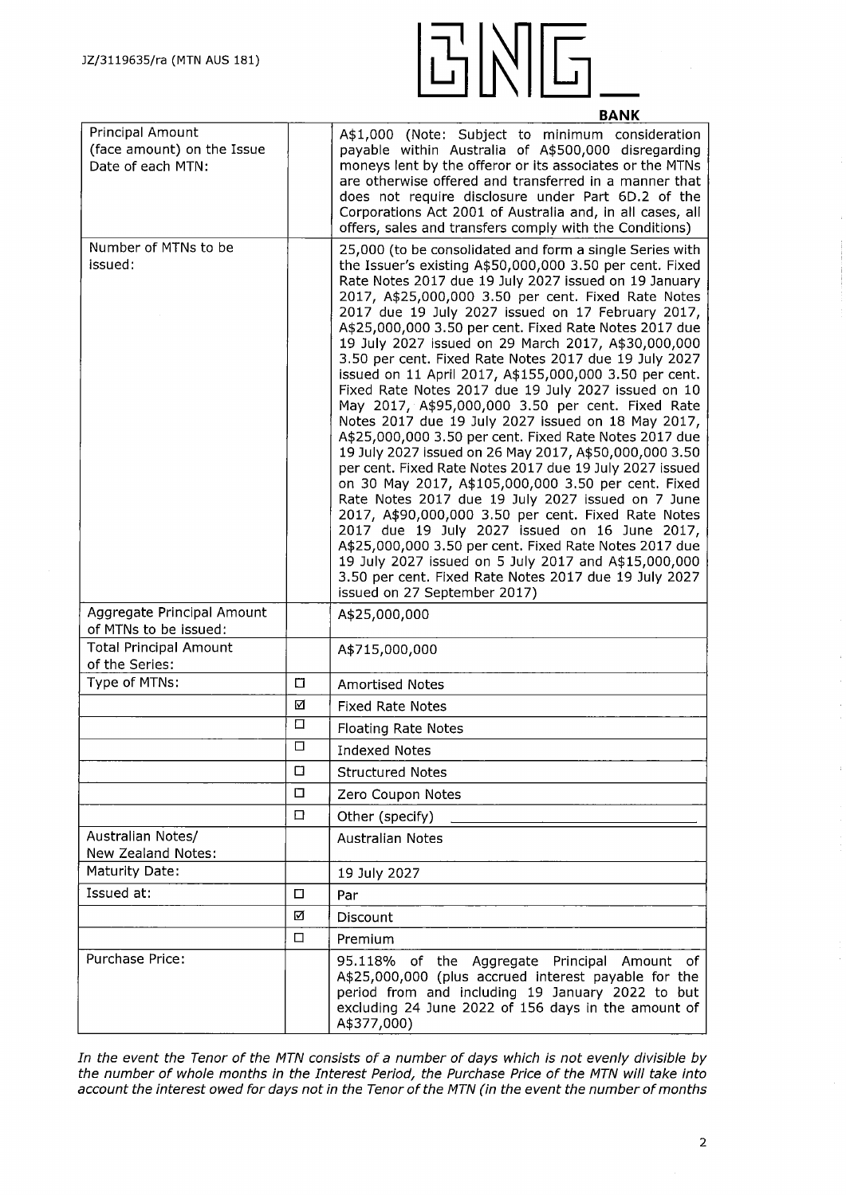

|                                                                     |        | <u>BANK</u>                                                                                                                                                                                                                                                                                                                                                                                                                                                                                                                                                                                                                                                                                                                                                                                                                                                                                                                                                                                                                                                                                                                                                                                                                                                                                                   |
|---------------------------------------------------------------------|--------|---------------------------------------------------------------------------------------------------------------------------------------------------------------------------------------------------------------------------------------------------------------------------------------------------------------------------------------------------------------------------------------------------------------------------------------------------------------------------------------------------------------------------------------------------------------------------------------------------------------------------------------------------------------------------------------------------------------------------------------------------------------------------------------------------------------------------------------------------------------------------------------------------------------------------------------------------------------------------------------------------------------------------------------------------------------------------------------------------------------------------------------------------------------------------------------------------------------------------------------------------------------------------------------------------------------|
| Principal Amount<br>(face amount) on the Issue<br>Date of each MTN: |        | A\$1,000 (Note: Subject to minimum consideration<br>payable within Australia of A\$500,000 disregarding<br>moneys lent by the offeror or its associates or the MTNs<br>are otherwise offered and transferred in a manner that<br>does not require disclosure under Part 6D.2 of the<br>Corporations Act 2001 of Australia and, in all cases, all<br>offers, sales and transfers comply with the Conditions)                                                                                                                                                                                                                                                                                                                                                                                                                                                                                                                                                                                                                                                                                                                                                                                                                                                                                                   |
| Number of MTNs to be<br>issued:                                     |        | 25,000 (to be consolidated and form a single Series with<br>the Issuer's existing A\$50,000,000 3.50 per cent. Fixed<br>Rate Notes 2017 due 19 July 2027 issued on 19 January<br>2017, A\$25,000,000 3.50 per cent. Fixed Rate Notes<br>2017 due 19 July 2027 issued on 17 February 2017,<br>A\$25,000,000 3.50 per cent. Fixed Rate Notes 2017 due<br>19 July 2027 issued on 29 March 2017, A\$30,000,000<br>3.50 per cent. Fixed Rate Notes 2017 due 19 July 2027<br>issued on 11 April 2017, A\$155,000,000 3.50 per cent.<br>Fixed Rate Notes 2017 due 19 July 2027 issued on 10<br>May 2017, A\$95,000,000 3.50 per cent. Fixed Rate<br>Notes 2017 due 19 July 2027 issued on 18 May 2017,<br>A\$25,000,000 3.50 per cent. Fixed Rate Notes 2017 due<br>19 July 2027 issued on 26 May 2017, A\$50,000,000 3.50<br>per cent. Fixed Rate Notes 2017 due 19 July 2027 issued<br>on 30 May 2017, A\$105,000,000 3.50 per cent. Fixed<br>Rate Notes 2017 due 19 July 2027 issued on 7 June<br>2017, A\$90,000,000 3.50 per cent. Fixed Rate Notes<br>2017 due 19 July 2027 issued on 16 June 2017,<br>A\$25,000,000 3.50 per cent. Fixed Rate Notes 2017 due<br>19 July 2027 issued on 5 July 2017 and A\$15,000,000<br>3.50 per cent. Fixed Rate Notes 2017 due 19 July 2027<br>issued on 27 September 2017) |
| Aggregate Principal Amount<br>of MTNs to be issued:                 |        | A\$25,000,000                                                                                                                                                                                                                                                                                                                                                                                                                                                                                                                                                                                                                                                                                                                                                                                                                                                                                                                                                                                                                                                                                                                                                                                                                                                                                                 |
| <b>Total Principal Amount</b><br>of the Series:                     |        | A\$715,000,000                                                                                                                                                                                                                                                                                                                                                                                                                                                                                                                                                                                                                                                                                                                                                                                                                                                                                                                                                                                                                                                                                                                                                                                                                                                                                                |
| Type of MTNs:                                                       | п      | <b>Amortised Notes</b>                                                                                                                                                                                                                                                                                                                                                                                                                                                                                                                                                                                                                                                                                                                                                                                                                                                                                                                                                                                                                                                                                                                                                                                                                                                                                        |
|                                                                     | ☑      | <b>Fixed Rate Notes</b>                                                                                                                                                                                                                                                                                                                                                                                                                                                                                                                                                                                                                                                                                                                                                                                                                                                                                                                                                                                                                                                                                                                                                                                                                                                                                       |
|                                                                     | 口      | <b>Floating Rate Notes</b>                                                                                                                                                                                                                                                                                                                                                                                                                                                                                                                                                                                                                                                                                                                                                                                                                                                                                                                                                                                                                                                                                                                                                                                                                                                                                    |
|                                                                     | □      | <b>Indexed Notes</b>                                                                                                                                                                                                                                                                                                                                                                                                                                                                                                                                                                                                                                                                                                                                                                                                                                                                                                                                                                                                                                                                                                                                                                                                                                                                                          |
|                                                                     | □      | <b>Structured Notes</b>                                                                                                                                                                                                                                                                                                                                                                                                                                                                                                                                                                                                                                                                                                                                                                                                                                                                                                                                                                                                                                                                                                                                                                                                                                                                                       |
|                                                                     | $\Box$ | Zero Coupon Notes                                                                                                                                                                                                                                                                                                                                                                                                                                                                                                                                                                                                                                                                                                                                                                                                                                                                                                                                                                                                                                                                                                                                                                                                                                                                                             |
|                                                                     | $\Box$ | Other (specify)                                                                                                                                                                                                                                                                                                                                                                                                                                                                                                                                                                                                                                                                                                                                                                                                                                                                                                                                                                                                                                                                                                                                                                                                                                                                                               |
| Australian Notes/<br>New Zealand Notes:                             |        | <b>Australian Notes</b>                                                                                                                                                                                                                                                                                                                                                                                                                                                                                                                                                                                                                                                                                                                                                                                                                                                                                                                                                                                                                                                                                                                                                                                                                                                                                       |
| Maturity Date:                                                      |        | 19 July 2027                                                                                                                                                                                                                                                                                                                                                                                                                                                                                                                                                                                                                                                                                                                                                                                                                                                                                                                                                                                                                                                                                                                                                                                                                                                                                                  |
| Issued at:                                                          | О      | Par                                                                                                                                                                                                                                                                                                                                                                                                                                                                                                                                                                                                                                                                                                                                                                                                                                                                                                                                                                                                                                                                                                                                                                                                                                                                                                           |
|                                                                     | ☑      | Discount                                                                                                                                                                                                                                                                                                                                                                                                                                                                                                                                                                                                                                                                                                                                                                                                                                                                                                                                                                                                                                                                                                                                                                                                                                                                                                      |
|                                                                     | □      | Premium                                                                                                                                                                                                                                                                                                                                                                                                                                                                                                                                                                                                                                                                                                                                                                                                                                                                                                                                                                                                                                                                                                                                                                                                                                                                                                       |
| <b>Purchase Price:</b>                                              |        | 95.118% of the Aggregate Principal Amount of<br>A\$25,000,000 (plus accrued interest payable for the<br>period from and including 19 January 2022 to but<br>excluding 24 June 2022 of 156 days in the amount of<br>A\$377,000)                                                                                                                                                                                                                                                                                                                                                                                                                                                                                                                                                                                                                                                                                                                                                                                                                                                                                                                                                                                                                                                                                |

In the event the Tenor of the MTN consists of a number of days which is not evenly divisible by *the number of whole months in the Interest Period, the Purchase Price of the MTN will take into account the interest owed for days not in the Tenor ofthe MTN (in the event the number ofmonths*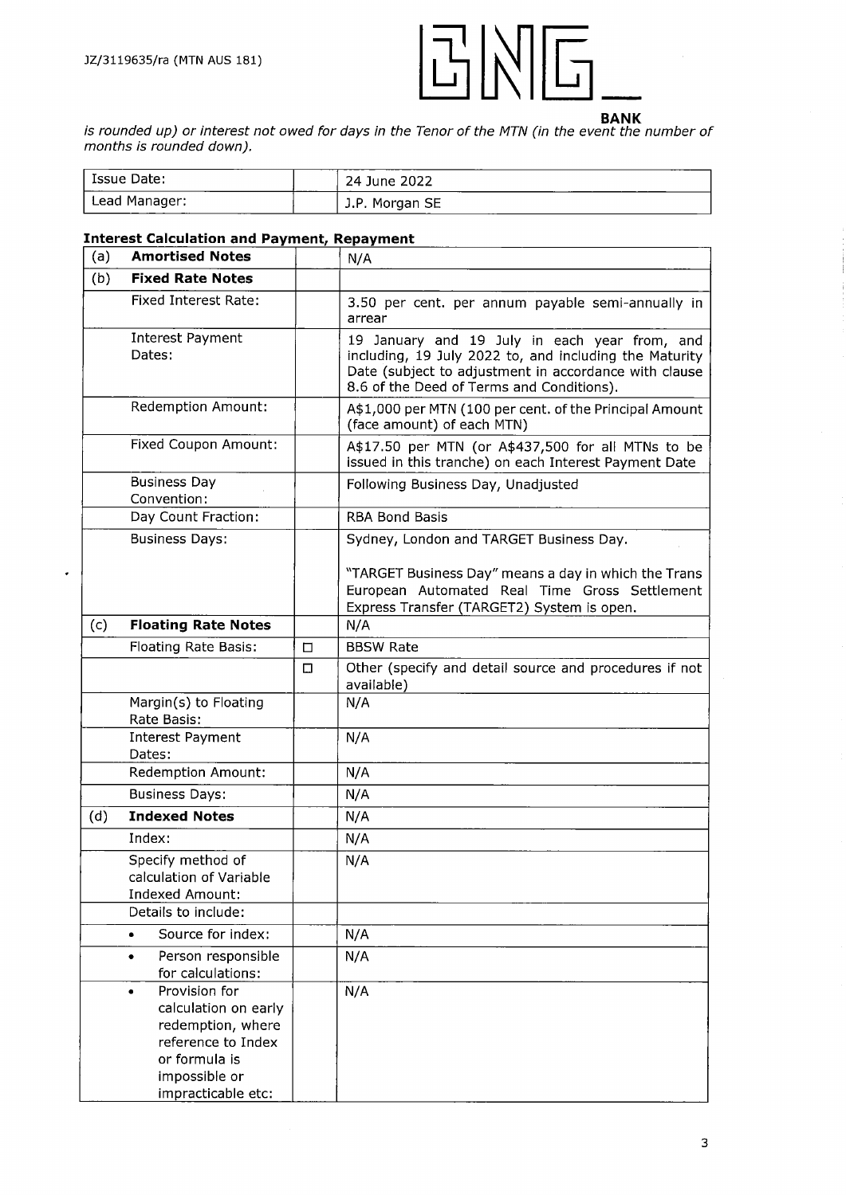l.



is rounded up) or interest not owed for days in the Tenor of the MTN (in the event the number of *months is rounded down).*

| Issue Date:   | 24 June 2022   |
|---------------|----------------|
| Lead Manager: | J.P. Morgan SE |

# **Interest Calculation and Payment, Repayment**

| (a) | <b>Amortised Notes</b>                                                                                                                                |        | N/A                                                                                                                                                                                                           |  |
|-----|-------------------------------------------------------------------------------------------------------------------------------------------------------|--------|---------------------------------------------------------------------------------------------------------------------------------------------------------------------------------------------------------------|--|
| (b) | <b>Fixed Rate Notes</b>                                                                                                                               |        |                                                                                                                                                                                                               |  |
|     | <b>Fixed Interest Rate:</b>                                                                                                                           |        | 3.50 per cent. per annum payable semi-annually in<br>arrear                                                                                                                                                   |  |
|     | <b>Interest Payment</b><br>Dates:                                                                                                                     |        | 19 January and 19 July in each year from, and<br>including, 19 July 2022 to, and including the Maturity<br>Date (subject to adjustment in accordance with clause<br>8.6 of the Deed of Terms and Conditions). |  |
|     | <b>Redemption Amount:</b>                                                                                                                             |        | A\$1,000 per MTN (100 per cent. of the Principal Amount<br>(face amount) of each MTN)                                                                                                                         |  |
|     | Fixed Coupon Amount:                                                                                                                                  |        | A\$17.50 per MTN (or A\$437,500 for all MTNs to be<br>issued in this tranche) on each Interest Payment Date                                                                                                   |  |
|     | <b>Business Day</b><br>Convention:                                                                                                                    |        | Following Business Day, Unadjusted                                                                                                                                                                            |  |
|     | Day Count Fraction:                                                                                                                                   |        | <b>RBA Bond Basis</b>                                                                                                                                                                                         |  |
|     | <b>Business Days:</b>                                                                                                                                 |        | Sydney, London and TARGET Business Day.                                                                                                                                                                       |  |
|     |                                                                                                                                                       |        | "TARGET Business Day" means a day in which the Trans<br>European Automated Real Time Gross Settlement<br>Express Transfer (TARGET2) System is open.                                                           |  |
| (c) | <b>Floating Rate Notes</b>                                                                                                                            |        | N/A                                                                                                                                                                                                           |  |
|     | Floating Rate Basis:                                                                                                                                  | $\Box$ | <b>BBSW Rate</b>                                                                                                                                                                                              |  |
|     |                                                                                                                                                       | $\Box$ | Other (specify and detail source and procedures if not<br>available)                                                                                                                                          |  |
|     | Margin(s) to Floating<br>Rate Basis:                                                                                                                  |        | N/A                                                                                                                                                                                                           |  |
|     | <b>Interest Payment</b><br>Dates:                                                                                                                     |        | N/A                                                                                                                                                                                                           |  |
|     | <b>Redemption Amount:</b>                                                                                                                             |        | N/A                                                                                                                                                                                                           |  |
|     | <b>Business Days:</b>                                                                                                                                 |        | N/A                                                                                                                                                                                                           |  |
| (d) | <b>Indexed Notes</b>                                                                                                                                  |        | N/A                                                                                                                                                                                                           |  |
|     | Index:                                                                                                                                                |        | N/A                                                                                                                                                                                                           |  |
|     | Specify method of<br>calculation of Variable<br><b>Indexed Amount:</b>                                                                                |        | N/A                                                                                                                                                                                                           |  |
|     | Details to include:                                                                                                                                   |        |                                                                                                                                                                                                               |  |
|     | Source for index:<br>۰                                                                                                                                |        | N/A                                                                                                                                                                                                           |  |
|     | Person responsible<br>٠<br>for calculations:                                                                                                          |        | N/A                                                                                                                                                                                                           |  |
|     | Provision for<br>$\bullet$<br>calculation on early<br>redemption, where<br>reference to Index<br>or formula is<br>impossible or<br>impracticable etc: |        | N/A                                                                                                                                                                                                           |  |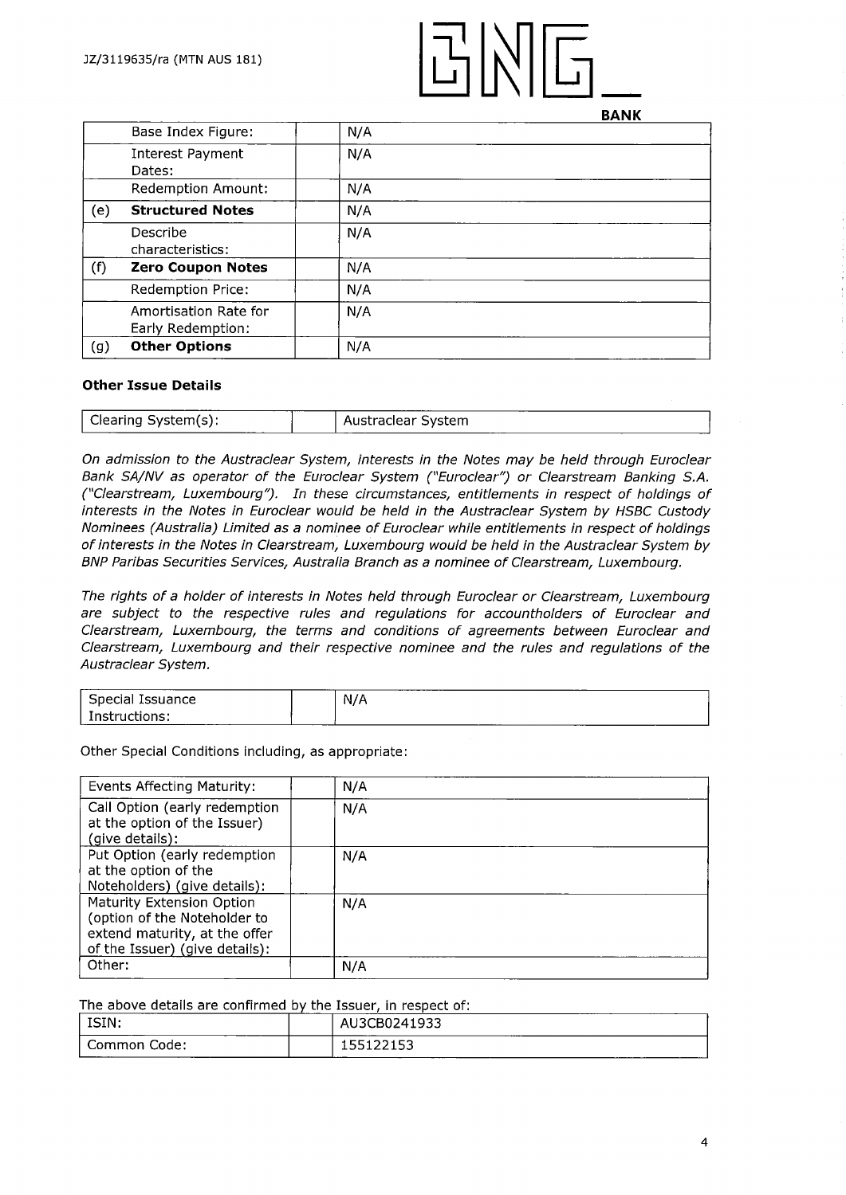

**BANK**

|     | Base Index Figure:                         | N/A |  |
|-----|--------------------------------------------|-----|--|
|     | Interest Payment<br>Dates:                 | N/A |  |
|     | <b>Redemption Amount:</b>                  | N/A |  |
| (e) | <b>Structured Notes</b>                    | N/A |  |
|     | Describe<br>characteristics:               | N/A |  |
| (f) | <b>Zero Coupon Notes</b>                   | N/A |  |
|     | Redemption Price:                          | N/A |  |
|     | Amortisation Rate for<br>Early Redemption: | N/A |  |
| (g) | <b>Other Options</b>                       | N/A |  |

#### **Other Issue Details**

| ______                               | ___ | _______                    |
|--------------------------------------|-----|----------------------------|
| $S$ vstem $(s)$<br>Clearing<br>----- |     | wstraclear System<br>-- -- |

*On admission to the Austraclear System, interests in the Notes may be held through Euroclear Bank SA/NV as operator of the Euroclear System ("Euroclear") or Clearstream Banking S.A. ("Clearstream, Luxembourg"). In these circumstances, entitlements in respect of holdings of interests in the Notes in Euroclear would be held in the Austraclear System by HSBC Custody Nominees (Australia) Limited as a nominee of Euroclear while entitlements in respect of holdings ofinterests in the Notes in Clearstream, Luxembourg would be held in the Austraclear System by BNP Paribas Securities Services, Australia Branch as a nominee of Clearstream, Luxembourg.*

*The rights of a holder ofinterests in Notes held through Euroclear or Clearstream, Luxembourg are subject to the respective rules and regulations for accountholders of Euroclear and Clearstream, Luxembourg, the terms and conditions of agreements between Euroclear and Clearstream, Luxembourg and their respective nominee and the rules and regulations of the Austraclear System.*

| ____<br>-----<br>Issuance<br>`peciar   | . | ___<br>N/A       |
|----------------------------------------|---|------------------|
| $\sim$<br>$- - - -$<br>. כוונ<br>----- |   | -----<br>_______ |

Other Special Conditions including, as appropriate:

| Events Affecting Maturity:                                                                                                   | N/A |
|------------------------------------------------------------------------------------------------------------------------------|-----|
| Call Option (early redemption<br>at the option of the Issuer)<br>(give details):                                             | N/A |
| Put Option (early redemption<br>at the option of the<br>Noteholders) (give details):                                         | N/A |
| Maturity Extension Option<br>(option of the Noteholder to<br>extend maturity, at the offer<br>of the Issuer) (give details): | N/A |
| Other:                                                                                                                       | N/A |

The above details are confirmed by the Issuer, in respect of:

| ISIN:             | --- | AU3CB0241933<br>---     |
|-------------------|-----|-------------------------|
| Code:<br>∴ommon ∩ |     | .<br>. .<br>----------- |